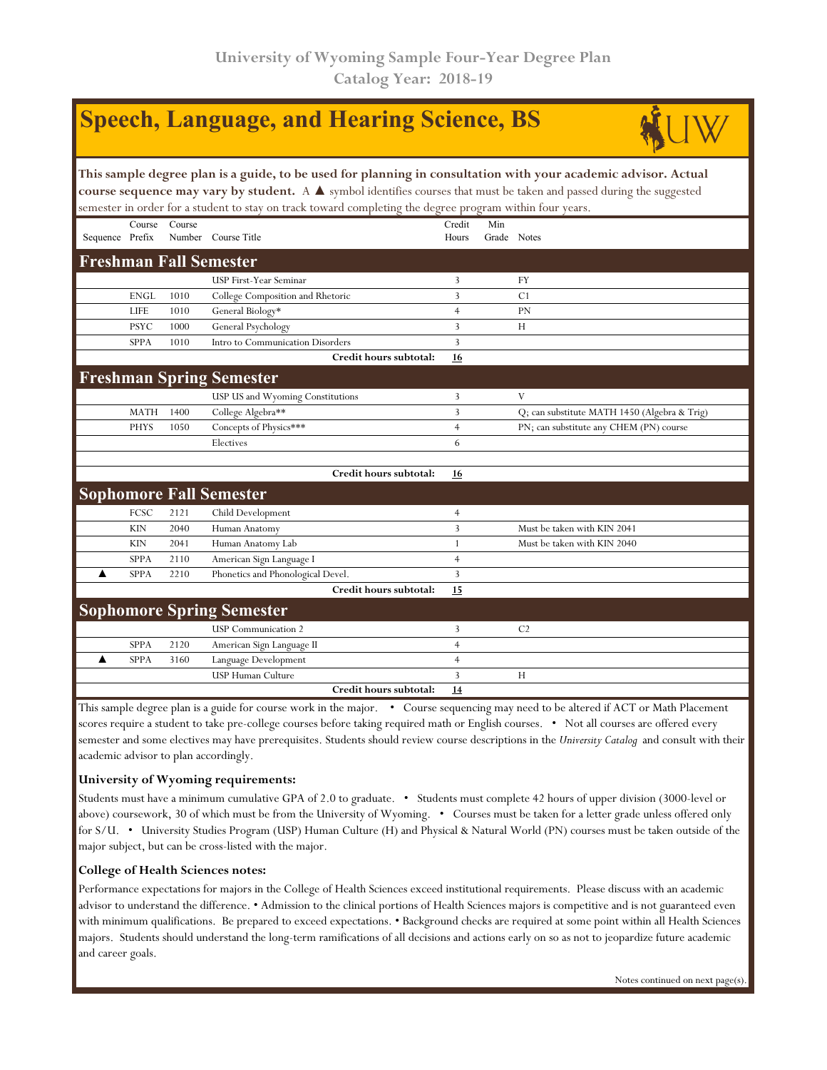|                                                                                                                                                                                                                                                                                                                                                                    |             |        | <b>Speech, Language, and Hearing Science, BS</b> |                 |                    |                                              |  |  |  |  |  |
|--------------------------------------------------------------------------------------------------------------------------------------------------------------------------------------------------------------------------------------------------------------------------------------------------------------------------------------------------------------------|-------------|--------|--------------------------------------------------|-----------------|--------------------|----------------------------------------------|--|--|--|--|--|
| This sample degree plan is a guide, to be used for planning in consultation with your academic advisor. Actual<br>course sequence may vary by student. A $\blacktriangle$ symbol identifies courses that must be taken and passed during the suggested<br>semester in order for a student to stay on track toward completing the degree program within four years. |             |        |                                                  |                 |                    |                                              |  |  |  |  |  |
| Sequence Prefix                                                                                                                                                                                                                                                                                                                                                    | Course      | Course | Number Course Title                              | Credit<br>Hours | Min<br>Grade Notes |                                              |  |  |  |  |  |
|                                                                                                                                                                                                                                                                                                                                                                    |             |        | <b>Freshman Fall Semester</b>                    |                 |                    |                                              |  |  |  |  |  |
|                                                                                                                                                                                                                                                                                                                                                                    |             |        | <b>USP First-Year Seminar</b>                    | 3               |                    | <b>FY</b>                                    |  |  |  |  |  |
|                                                                                                                                                                                                                                                                                                                                                                    | <b>ENGL</b> | 1010   | College Composition and Rhetoric                 | 3               |                    | C <sub>1</sub>                               |  |  |  |  |  |
|                                                                                                                                                                                                                                                                                                                                                                    | LIFE        | 1010   | General Biology*                                 | $\overline{4}$  |                    | PN                                           |  |  |  |  |  |
|                                                                                                                                                                                                                                                                                                                                                                    | <b>PSYC</b> | 1000   | General Psychology                               | 3               |                    | H                                            |  |  |  |  |  |
|                                                                                                                                                                                                                                                                                                                                                                    | <b>SPPA</b> | 1010   | Intro to Communication Disorders                 | 3               |                    |                                              |  |  |  |  |  |
|                                                                                                                                                                                                                                                                                                                                                                    |             |        | Credit hours subtotal:                           | 16              |                    |                                              |  |  |  |  |  |
|                                                                                                                                                                                                                                                                                                                                                                    |             |        | <b>Freshman Spring Semester</b>                  |                 |                    |                                              |  |  |  |  |  |
|                                                                                                                                                                                                                                                                                                                                                                    |             |        | USP US and Wyoming Constitutions                 | 3               |                    | V                                            |  |  |  |  |  |
|                                                                                                                                                                                                                                                                                                                                                                    | <b>MATH</b> | 1400   | College Algebra**                                | $\overline{3}$  |                    | Q; can substitute MATH 1450 (Algebra & Trig) |  |  |  |  |  |
|                                                                                                                                                                                                                                                                                                                                                                    | <b>PHYS</b> | 1050   | Concepts of Physics***                           | $\overline{4}$  |                    | PN; can substitute any CHEM (PN) course      |  |  |  |  |  |
|                                                                                                                                                                                                                                                                                                                                                                    |             |        | Electives                                        | 6               |                    |                                              |  |  |  |  |  |
|                                                                                                                                                                                                                                                                                                                                                                    |             |        |                                                  |                 |                    |                                              |  |  |  |  |  |
|                                                                                                                                                                                                                                                                                                                                                                    |             |        | Credit hours subtotal:                           | <u>16</u>       |                    |                                              |  |  |  |  |  |
|                                                                                                                                                                                                                                                                                                                                                                    |             |        | <b>Sophomore Fall Semester</b>                   |                 |                    |                                              |  |  |  |  |  |
|                                                                                                                                                                                                                                                                                                                                                                    | FCSC        | 2121   | Child Development                                | $\overline{4}$  |                    |                                              |  |  |  |  |  |
|                                                                                                                                                                                                                                                                                                                                                                    | <b>KIN</b>  | 2040   | Human Anatomy                                    | 3               |                    | Must be taken with KIN 2041                  |  |  |  |  |  |
|                                                                                                                                                                                                                                                                                                                                                                    | <b>KIN</b>  | 2041   | Human Anatomy Lab                                | $\mathbf{1}$    |                    | Must be taken with KIN 2040                  |  |  |  |  |  |
|                                                                                                                                                                                                                                                                                                                                                                    | <b>SPPA</b> | 2110   | American Sign Language I                         | $\overline{4}$  |                    |                                              |  |  |  |  |  |
|                                                                                                                                                                                                                                                                                                                                                                    | <b>SPPA</b> | 2210   | Phonetics and Phonological Devel.                | 3               |                    |                                              |  |  |  |  |  |
|                                                                                                                                                                                                                                                                                                                                                                    |             |        | Credit hours subtotal:                           | 15              |                    |                                              |  |  |  |  |  |
|                                                                                                                                                                                                                                                                                                                                                                    |             |        | <b>Sophomore Spring Semester</b>                 |                 |                    |                                              |  |  |  |  |  |
|                                                                                                                                                                                                                                                                                                                                                                    |             |        | <b>USP</b> Communication 2                       | 3               |                    | C <sub>2</sub>                               |  |  |  |  |  |
|                                                                                                                                                                                                                                                                                                                                                                    | <b>SPPA</b> | 2120   | American Sign Language II                        | $\overline{4}$  |                    |                                              |  |  |  |  |  |
| ▲                                                                                                                                                                                                                                                                                                                                                                  | <b>SPPA</b> | 3160   | Language Development                             | $\overline{4}$  |                    |                                              |  |  |  |  |  |
|                                                                                                                                                                                                                                                                                                                                                                    |             |        | <b>USP Human Culture</b>                         | 3               |                    | H                                            |  |  |  |  |  |
|                                                                                                                                                                                                                                                                                                                                                                    |             |        | Credit hours subtotal:                           | 14              |                    |                                              |  |  |  |  |  |

This sample degree plan is a guide for course work in the major. • Course sequencing may need to be altered if ACT or Math Placement scores require a student to take pre-college courses before taking required math or English courses. • Not all courses are offered every semester and some electives may have prerequisites. Students should review course descriptions in the *University Catalog* and consult with their academic advisor to plan accordingly.

## **University of Wyoming requirements:**

Students must have a minimum cumulative GPA of 2.0 to graduate. • Students must complete 42 hours of upper division (3000-level or above) coursework, 30 of which must be from the University of Wyoming. • Courses must be taken for a letter grade unless offered only for S/U. • University Studies Program (USP) Human Culture (H) and Physical & Natural World (PN) courses must be taken outside of the major subject, but can be cross-listed with the major.

## **College of Health Sciences notes:**

Performance expectations for majors in the College of Health Sciences exceed institutional requirements. Please discuss with an academic advisor to understand the difference. • Admission to the clinical portions of Health Sciences majors is competitive and is not guaranteed even with minimum qualifications. Be prepared to exceed expectations. • Background checks are required at some point within all Health Sciences majors. Students should understand the long-term ramifications of all decisions and actions early on so as not to jeopardize future academic and career goals.